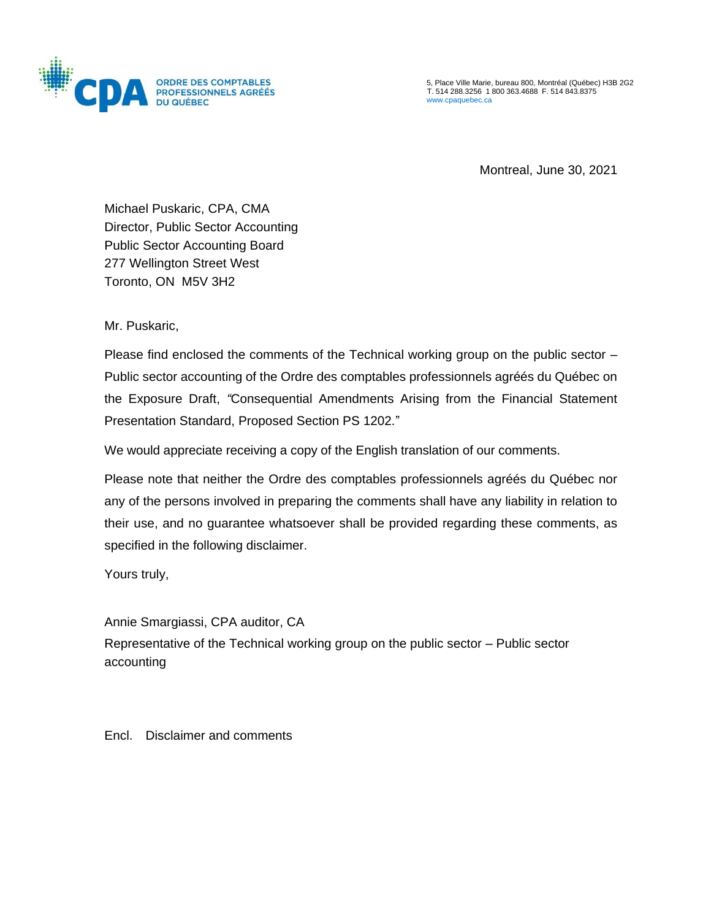

5, Place Ville Marie, bureau 800, Montréal (Québec) H3B 2G2 T. 514 288.3256 1 800 363.4688 F. 514 843.8375 [www.cpaquebec.ca](http://www.cpaquebec.ca/)

Montreal, June 30, 2021

Michael Puskaric, CPA, CMA Director, Public Sector Accounting Public Sector Accounting Board 277 Wellington Street West Toronto, ON M5V 3H2

Mr. Puskaric,

Please find enclosed the comments of the Technical working group on the public sector – Public sector accounting of the Ordre des comptables professionnels agréés du Québec on the Exposure Draft, *"*Consequential Amendments Arising from the Financial Statement Presentation Standard, Proposed Section PS 1202*.*"

We would appreciate receiving a copy of the English translation of our comments.

Please note that neither the Ordre des comptables professionnels agréés du Québec nor any of the persons involved in preparing the comments shall have any liability in relation to their use, and no guarantee whatsoever shall be provided regarding these comments, as specified in the following disclaimer.

Yours truly,

Annie Smargiassi, CPA auditor, CA Representative of the Technical working group on the public sector – Public sector accounting

Encl. Disclaimer and comments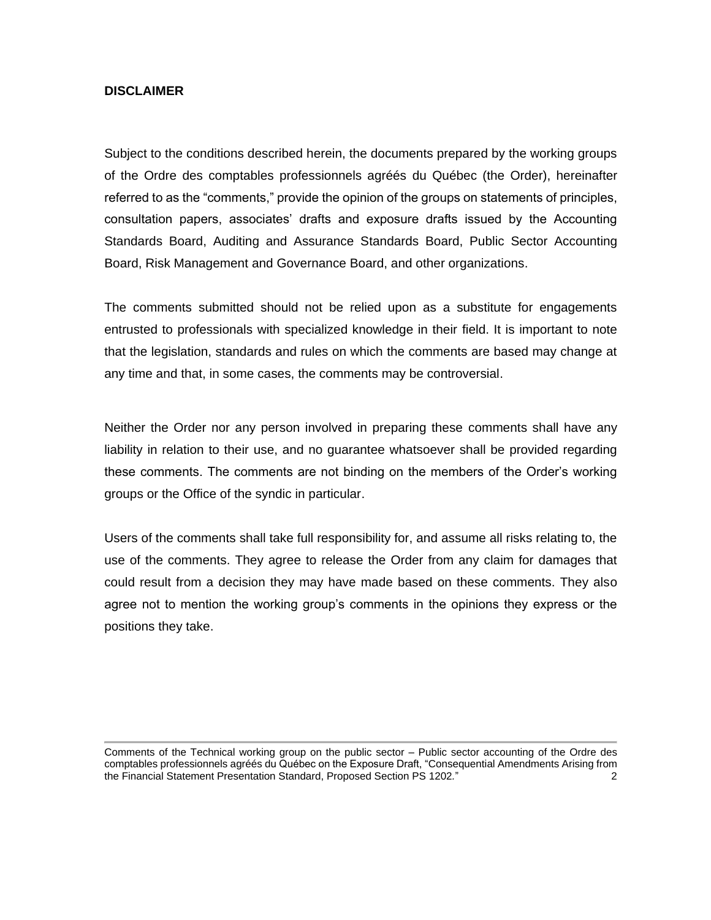## **DISCLAIMER**

Subject to the conditions described herein, the documents prepared by the working groups of the Ordre des comptables professionnels agréés du Québec (the Order), hereinafter referred to as the "comments," provide the opinion of the groups on statements of principles, consultation papers, associates' drafts and exposure drafts issued by the Accounting Standards Board, Auditing and Assurance Standards Board, Public Sector Accounting Board, Risk Management and Governance Board, and other organizations.

The comments submitted should not be relied upon as a substitute for engagements entrusted to professionals with specialized knowledge in their field. It is important to note that the legislation, standards and rules on which the comments are based may change at any time and that, in some cases, the comments may be controversial.

Neither the Order nor any person involved in preparing these comments shall have any liability in relation to their use, and no guarantee whatsoever shall be provided regarding these comments. The comments are not binding on the members of the Order's working groups or the Office of the syndic in particular.

Users of the comments shall take full responsibility for, and assume all risks relating to, the use of the comments. They agree to release the Order from any claim for damages that could result from a decision they may have made based on these comments. They also agree not to mention the working group's comments in the opinions they express or the positions they take.

Comments of the Technical working group on the public sector – Public sector accounting of the Ordre des comptables professionnels agréés du Québec on the Exposure Draft, "Consequential Amendments Arising from the Financial Statement Presentation Standard, Proposed Section PS 1202*.*" 2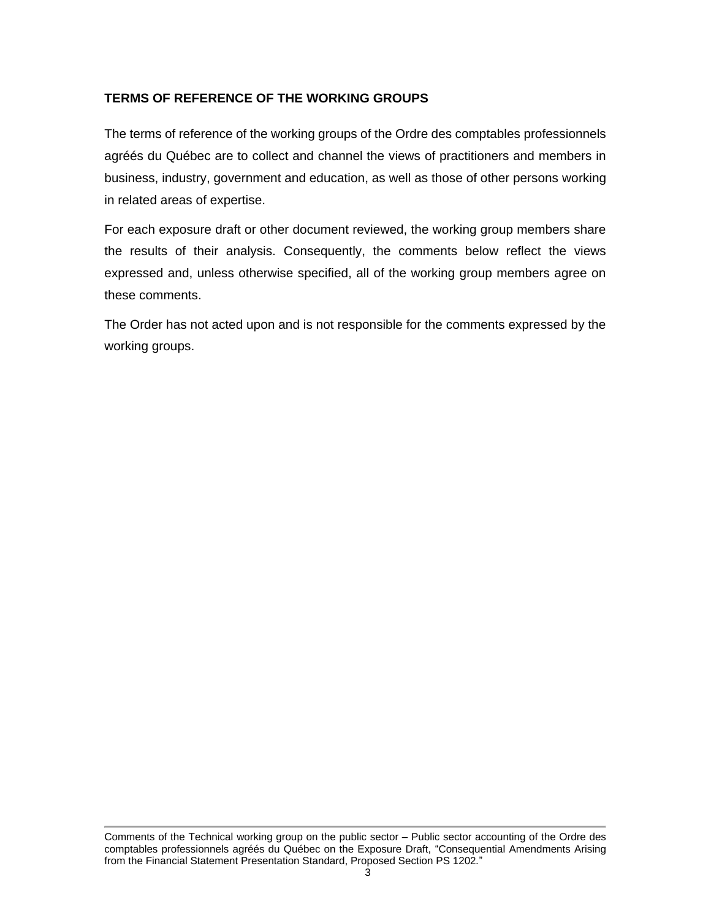## **TERMS OF REFERENCE OF THE WORKING GROUPS**

The terms of reference of the working groups of the Ordre des comptables professionnels agréés du Québec are to collect and channel the views of practitioners and members in business, industry, government and education, as well as those of other persons working in related areas of expertise.

For each exposure draft or other document reviewed, the working group members share the results of their analysis. Consequently, the comments below reflect the views expressed and, unless otherwise specified, all of the working group members agree on these comments.

The Order has not acted upon and is not responsible for the comments expressed by the working groups.

Comments of the Technical working group on the public sector – Public sector accounting of the Ordre des comptables professionnels agréés du Québec on the Exposure Draft, "Consequential Amendments Arising from the Financial Statement Presentation Standard, Proposed Section PS 1202*.*"